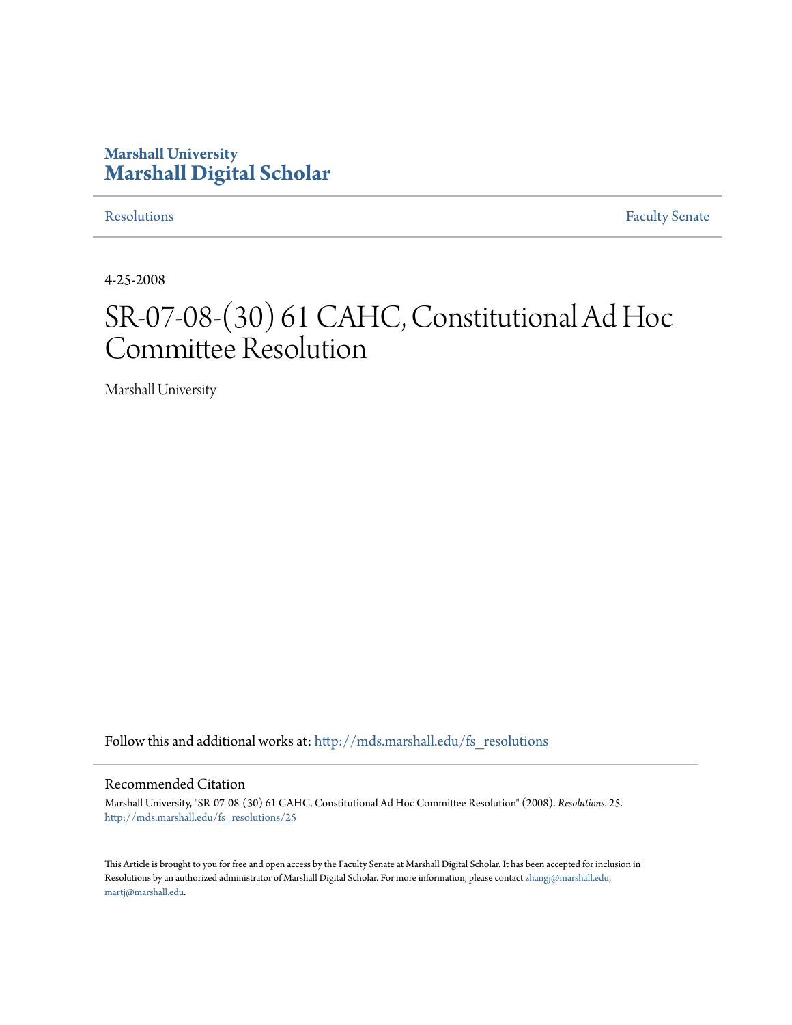# **Marshall University [Marshall Digital Scholar](http://mds.marshall.edu?utm_source=mds.marshall.edu%2Ffs_resolutions%2F25&utm_medium=PDF&utm_campaign=PDFCoverPages)**

[Resolutions](http://mds.marshall.edu/fs_resolutions?utm_source=mds.marshall.edu%2Ffs_resolutions%2F25&utm_medium=PDF&utm_campaign=PDFCoverPages) [Faculty Senate](http://mds.marshall.edu/fs?utm_source=mds.marshall.edu%2Ffs_resolutions%2F25&utm_medium=PDF&utm_campaign=PDFCoverPages)

4-25-2008

# SR-07-08-(30) 61 CAHC, Constitutional Ad Hoc Committee Resolution

Marshall University

Follow this and additional works at: [http://mds.marshall.edu/fs\\_resolutions](http://mds.marshall.edu/fs_resolutions?utm_source=mds.marshall.edu%2Ffs_resolutions%2F25&utm_medium=PDF&utm_campaign=PDFCoverPages)

#### Recommended Citation

Marshall University, "SR-07-08-(30) 61 CAHC, Constitutional Ad Hoc Committee Resolution" (2008). *Resolutions*. 25. [http://mds.marshall.edu/fs\\_resolutions/25](http://mds.marshall.edu/fs_resolutions/25?utm_source=mds.marshall.edu%2Ffs_resolutions%2F25&utm_medium=PDF&utm_campaign=PDFCoverPages)

This Article is brought to you for free and open access by the Faculty Senate at Marshall Digital Scholar. It has been accepted for inclusion in Resolutions by an authorized administrator of Marshall Digital Scholar. For more information, please contact [zhangj@marshall.edu,](mailto:zhangj@marshall.edu,%20martj@marshall.edu) [martj@marshall.edu](mailto:zhangj@marshall.edu,%20martj@marshall.edu).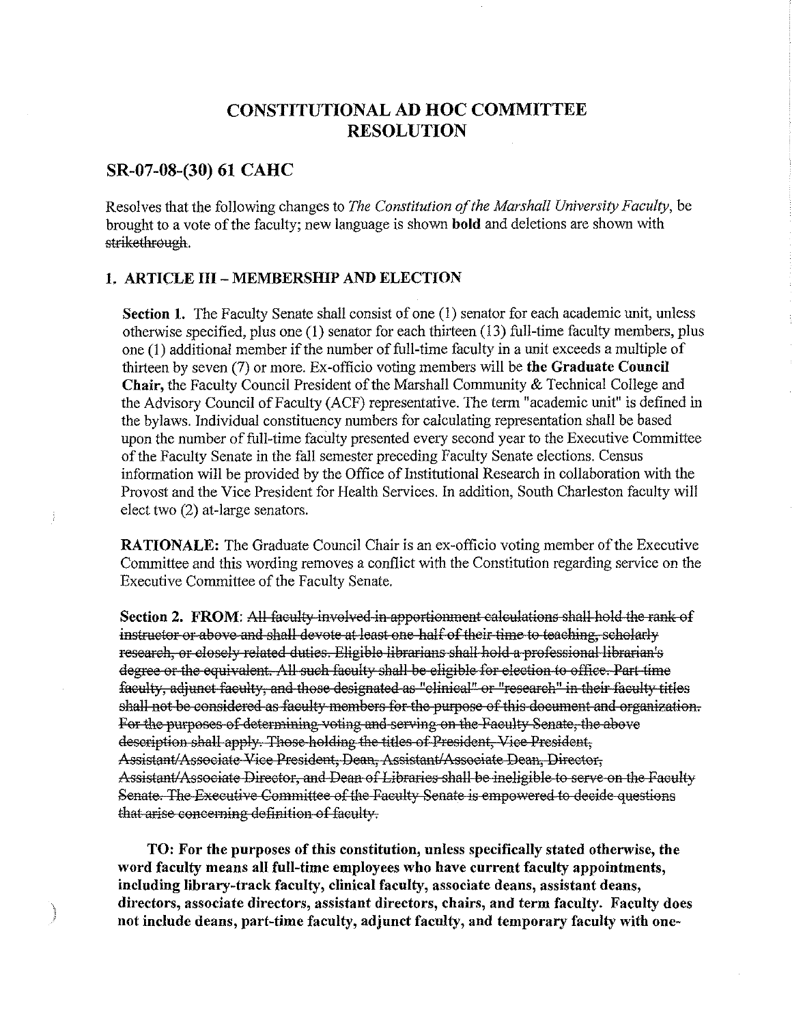# **CONSTITUTIONAL AD HOC COMMITTEE RESOLUTION**

#### **SR-07-08-(30) 61 CAHC**

 $u_{CGG23}$ 

Resolves that the following changes to *The Constitution of the Marshall University Faculty,* be brought to a vote of the faculty; new language is shown **bold** and deletions are shown with strikethrough.

#### **1. ARTICLE III - MEMBERSHIP AND ELECTION**

**Section 1.** The Faculty Senate shall consist of one (1) senator for each academic unit, unless otherwise specified, plus one **(1)** senator for each thirteen (13) full-time faculty members, plus one (1) additional member if the number of full-time faculty in a unit exceeds a multiple of thirteen by seven (7) or more. Ex-officio voting members will be **the Graduate Council Chair,** the Faculty Council President of the Marshall Community & Technical College and the Advisory Council of Faculty (ACF) representative. The term "academic unit" is defined in the bylaws. Individual constituency numbers for calculating representation shall be based upon the number of full-time faculty presented every second year to the Executive Committee of the Faculty Senate in the fall semester preceding Faculty Senate elections. Census information will be provided by the Office of Institutional Research in collaboration with the Provost and the Vice President for Health Services. In addition, South Charleston faculty will elect two (2) at-large senators.

**RATIONALE:** The Graduate Council Chair is an ex-officio voting member of the Executive Connnittee and this wording removes a conflict with the Constitution regarding service on the Executive Connnittee of the Faculty Senate.

**Section 2. FROM:** All faculty involved in apportionment calculations shall hold the rank of instructor or above and shall devote at least one half of their time to teaching, scholarly research, or closely related duties. Eligible librarians shall hold a professional librarian's degree or the equivalent. All such faculty shall be eligible for election to office. Part time faculty, adjunct faculty, and those designated as "clinical" or "research" in their faculty titles shall not be considered as faculty members for the purpose of this document and organization. For the purposes of determining voting and serving on the Faculty Senate, the above description shall apply. Those holding the titles of President, Vice President, Assistant/Associate Vice President, Dean, Assistant/Associate Dean, Director, Assistant/Associate Director, and Dean of Libraries shall be ineligible to serve on the Faculty Senate. The Executive Committee of the Faculty Senate is empowered to decide questions that arise coneeming definition of faeulty.

**TO: For the purposes of this constitution, unless specifically stated otherwise, the word faculty means all full-time employees who have current faculty appointments, including library-track faculty, clinical faculty, associate deans, assistant deans, directors, associate directors, assistant directors, chairs, and term faculty. Faculty does not include deans, part-time faculty, adjunct faculty, and temporary faculty with one-**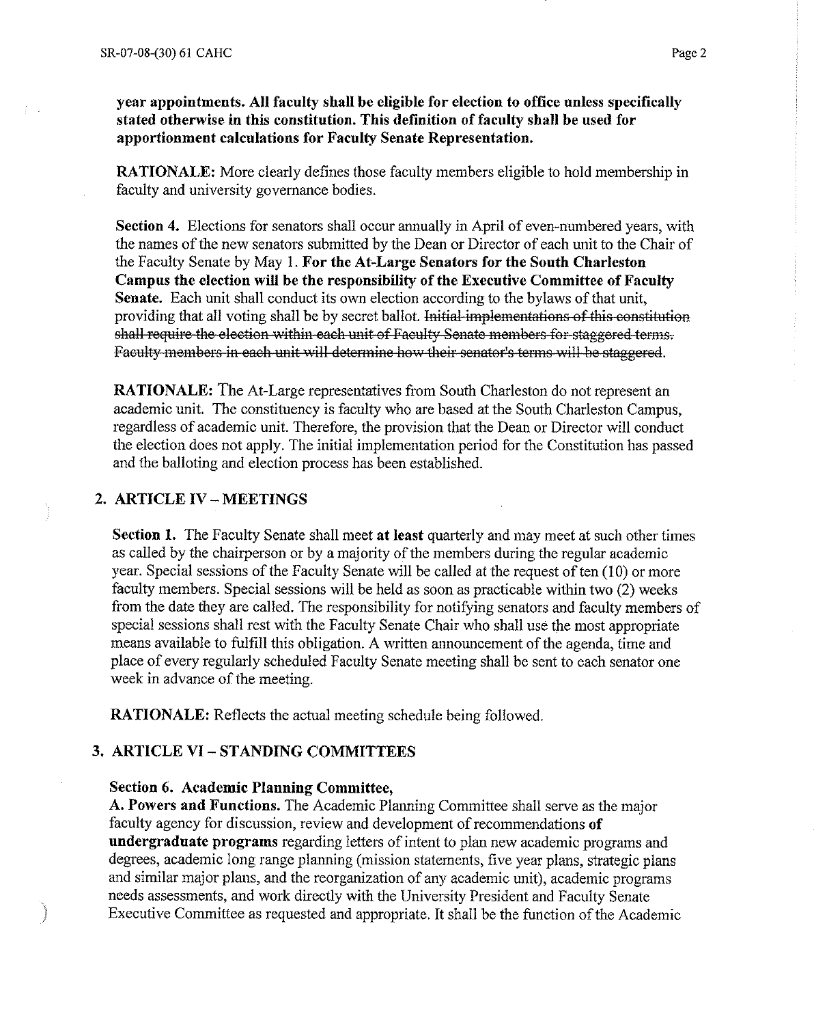**year appointments. All faculty shall be eligible for election to office unless specifically stated otherwise in this constitution. This definition of faculty shall be used for apportionment calculations for Faculty Senate Representation.** 

**RATIONALE:** More clearly defines those faculty members eligible to hold membership in faculty and university governance bodies.

**Section 4.** Elections for senators shall occur mmually in April of even-numbered years, with the names of the new senators submitted by the Dean or Director of each unit to the Chair of the Faculty Senate by May I. **For the At-Large Senators for the South Charleston Campus the election will be the responsibility of the Executive Committee of Faculty Senate.** Each unit shall conduct its own election according to the bylaws of that unit, providing that all voting shall be by secret ballot. Initial implementations of this eonstitution shall require the election within each unit of Faculty Senate members for staggered terms. Faculty members in each unit will determine how their senator's terms will be staggered.

**RATIONALE:** The At-Large representatives from South Charleston do not represent an academic unit. The constituency is faculty who are based at the South Charleston Campus, regardless of academic unit. Therefore, the provision that the Dean or Director will conduct the election does not apply. The initial implementation period for the Constitution has passed and the balloting and election process has been established.

## **2. ARTICLE IV - MEETINGS**

**Section 1.** The Faculty Senate shall meet at least quarterly and may meet at such other times as called by the chairperson or by a majority of the members during the regular academic year. Special sessions of the Faculty Senate will be called at the request of ten (10) or more faculty members. Special sessions will be held as soon as practicable within two (2) weeks from the date they are called. The responsibility for notifying senators and faculty members of special sessions shall rest with the Faculty Senate Chair who shall use the most appropriate means available to fulfill this obligation. A written announcement of the agenda, time and place of every regularly scheduled Faculty Senate meeting shall be sent to each senator one week in advance of the meeting.

**RATIONALE:** Reflects the actual meeting schedule being followed.

### **3. ARTICLE VI - ST ANDING COMMITTEES**

#### **Section 6. Academic Planning Committee,**

A. Powers and Functions. The Academic Planning Committee shall serve as the major faculty agency for discussion, review and development of recommendations **of undergraduate programs** regarding letters of intent to plan new academic programs and degrees, academic long range planning (mission statements, five year plans, strategic plans and similar major plans, and the reorganization of any academic unit), academic programs needs assessments, and work directly with the University President and Faculty Senate Executive Committee as requested and appropriate. It shall be the function of the Academic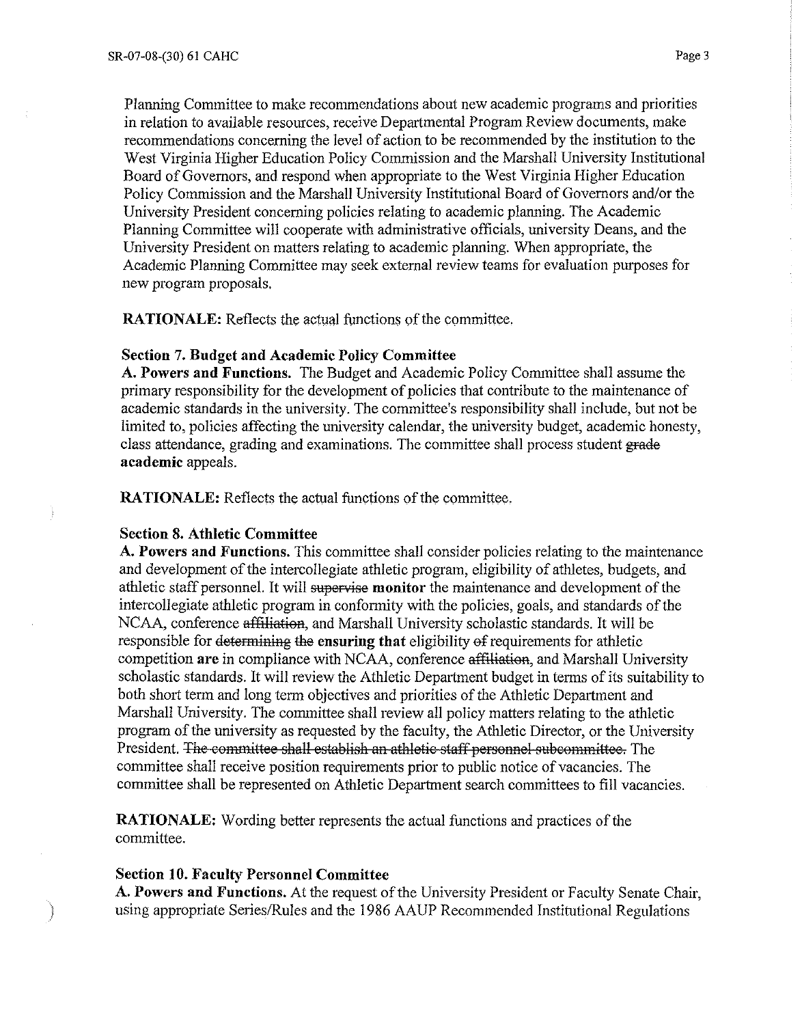Planning Committee to make recommendations about new academic programs and priorities in relation to available resources, receive Departmental Program Review documents, make recommendations concerning the level of action to be recommended by the institution to the West Virginia Higher Education Policy Commission and the Marshall University Institutional Board of Governors, and respond when appropriate to the West Virginia Higher Education Policy Commission and the Marshall University Institutional Board of Governors and/or the University President concerning policies relating to academic planning. The Academic Planning Committee will cooperate with administrative officials, university Deans, and the University President on matters relating to academic planning. When appropriate, the Academic Planning Committee may seek external review teams for evaluation purposes for new program proposals.

**RATIONALE:** Reflects the actual functions of the committee.

#### **Section 7. Budget and Academic Policy Committee**

**A. Powers and Functions.** The Budget and Academic Policy Conunittee shall assume the primary responsibility for the development of policies that contribute to the maintenance of academic standards in the university. The committee's responsibility shall include, but not be limited to, policies affecting the university calendar, the university budget, academic honesty, class attendance, grading and examinations. The committee shall process student grade **academic** appeals.

**RATIONALE:** Reflects the actual functions of the committee.

#### **Section 8. Athletic Committee**

**A. Powers and Functions.** This committee shall consider policies relating to the maintenance and development of the intercollegiate athletic program, eligibility of athletes, budgets, and athletic staff personnel. It will supervise **monitor** the maintenance and development of the intercollegiate athletic program in conformity with the policies, goals, and standards of the NCAA, conference affiliation, and Marshall University scholastic standards. It will be responsible for determiniag the **ensuring that** eligibility ef requirements for athletic competition **are** in compliance with NCAA, conference affiliation, and Marshall University scholastic standards. It will review the Athletic Department budget in terms of its suitability to both short term and long term objectives and priorities of the Athletic Department and Marshall University. The conunittee shall review all policy matters relating to the athletic program of the university as requested by the faculty, the Athletic Director, or the University President. The eommittee shall establish an athletic staff personnel subcommittee. The committee shall receive position requirements prior to public notice of vacancies. The committee shall be represented on Athletic Department search committees to fill vacancies.

**RATIONALE:** Wording better represents the actual functions and practices of the committee.

#### **Section 10. Faculty Personnel Committee**

**A. Powers and Functions.** At the request of the University President or Faculty Senate Chair, ) using appropriate Series/Rules and the 1986 AAUP Recommended Institutional Regulations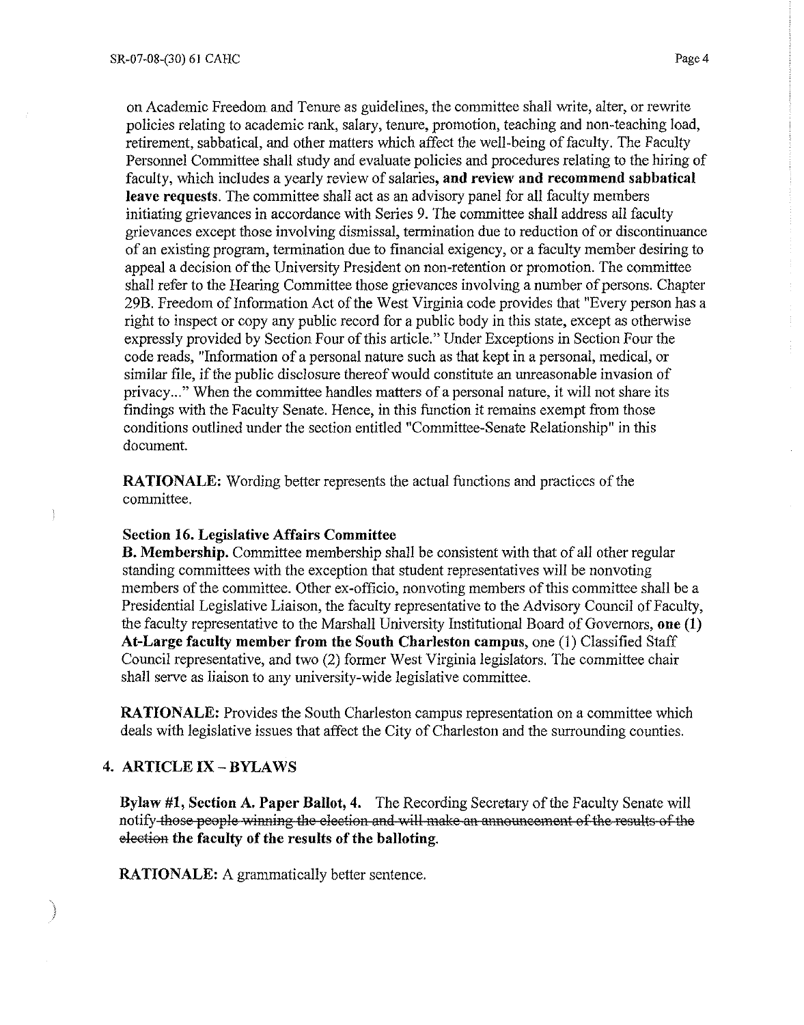on Academic Freedom and Tenure as guidelines, the committee shall write, alter, or rewrite policies relating to academic rank, salary, tenure, promotion, teaching and non-teaching load, retirement, sabbatical, and other matters which affect the well-being of faculty. The Faculty Personnel Committee shall study and evaluate policies and procedures relating to the hiring of faculty, which includes a yearly review of salaries, **and review and recommend sabbatical leave requests.** The committee shall act as an advisory panel for all faculty members initiating grievances in accordance with Series 9. The committee shall address all faculty grievances except those involving dismissal, termination due to reduction of or discontinuance of an existing program, termination due to financial exigency, or a faculty member desiring to appeal a decision of the University President on non-retention or promotion. The committee shall refer to the Hearing Committee those grievances involving a number of persons. Chapter 29B. Freedom of Information Act of the West Virginia code provides that "Every person has a right to inspect or copy any public record for a public body in this state, except as otherwise expressly provided by Section Four of this article." Under Exceptions in Section Four the code reads, "Infotmation of a personal nature such as that kept in a personal, medical, or similar file, if the public disclosure thereof would constitute an unreasonable invasion of privacy ... " When the committee handles matters of a personal nature, it will not share its findings with the Faculty Senate. Hence, in this function it remains exempt from those conditions outlined under the section entitled "Committee-Senate Relationship" in this document.

**RATIONALE:** Wording better represents the actual functions and practices of the committee.

#### **Section 16. Legislative Affairs Committee**

**B. Membership.** Committee membership shall be consistent with that of all other regular standing committees with the exception that student representatives will be nonvoting members of the committee. Other ex-officio, nonvoting members of this committee shall be a Presidential Legislative Liaison, the faculty representative to the Advisory Council of Faculty, the faculty representative to the Marshall University Institutional Board of Governors, **one (1) At-Large faculty member from the South Charleston campus,** one (1) Classified Staff Council representative, and two (2) former West Virginia legislators. The committee chair shall serve as liaison to any university-wide legislative committee.

**RATIONALE:** Provides the South Charleston campus representation on a committee which deals with legislative issues that affect the City of Charleston and the surrounding counties.

#### **4. ARTICLE IX - BYLAWS**

**Bylaw #1, Section A. Paper Ballot, 4.** The Recording Secretary of the Faculty Senate will notify those people winning the election and will make an announcement of the results of the eleetion **the faculty of the results of the balloting.** 

**RATIONALE:** A grammatically better sentence.